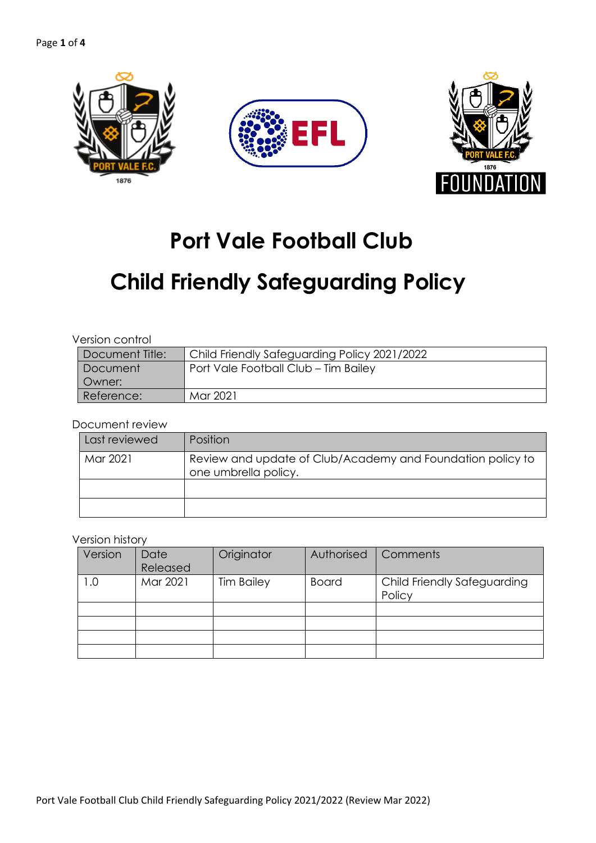

## **Port Vale Football Club**

# **Child Friendly Safeguarding Policy**

#### Version control

| Document Title: | Child Friendly Safeguarding Policy 2021/2022 |
|-----------------|----------------------------------------------|
| Document        | Port Vale Football Club - Tim Bailey         |
| Owner:          |                                              |
| Reference:      | Mar 2021                                     |

#### Document review

| Last reviewed | Position                                                                           |
|---------------|------------------------------------------------------------------------------------|
| Mar 2021      | Review and update of Club/Academy and Foundation policy to<br>one umbrella policy. |
|               |                                                                                    |
|               |                                                                                    |

#### Version history

| Version | Date<br>Released | Originator        | Authorised   | Comments                              |
|---------|------------------|-------------------|--------------|---------------------------------------|
| 0.1     | Mar 2021         | <b>Tim Bailey</b> | <b>Board</b> | Child Friendly Safeguarding<br>Policy |
|         |                  |                   |              |                                       |
|         |                  |                   |              |                                       |
|         |                  |                   |              |                                       |
|         |                  |                   |              |                                       |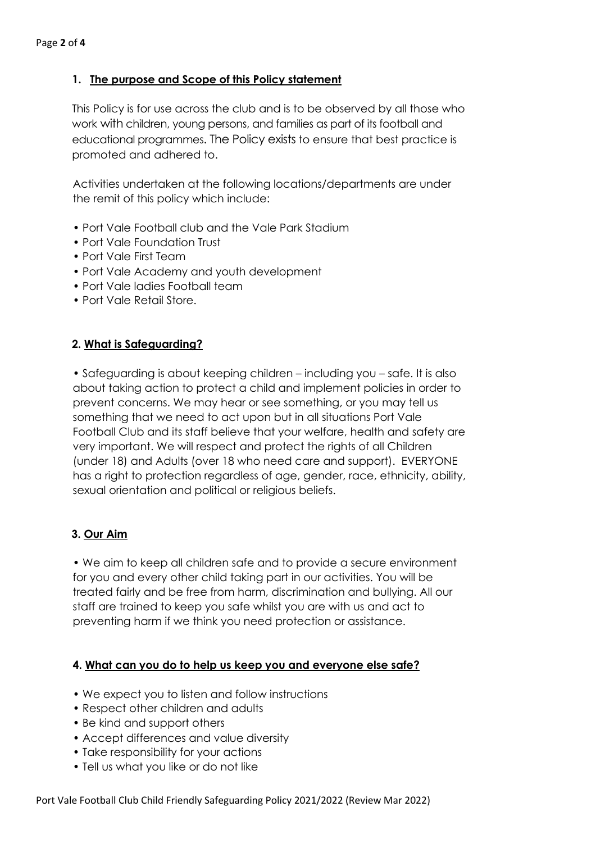## **1. The purpose and Scope of this Policy statement**

This Policy is for use across the club and is to be observed by all those who work with children, young persons, and families as part of its football and educational programmes. The Policy exists to ensure that best practice is promoted and adhered to.

Activities undertaken at the following locations/departments are under the remit of this policy which include:

- Port Vale Football club and the Vale Park Stadium
- Port Vale Foundation Trust
- Port Vale First Team
- Port Vale Academy and youth development
- Port Vale ladies Football team
- Port Vale Retail Store.

#### **2. What is Safeguarding?**

• Safeguarding is about keeping children – including you – safe. It is also about taking action to protect a child and implement policies in order to prevent concerns. We may hear or see something, or you may tell us something that we need to act upon but in all situations Port Vale Football Club and its staff believe that your welfare, health and safety are very important. We will respect and protect the rights of all Children (under 18) and Adults (over 18 who need care and support). EVERYONE has a right to protection regardless of age, gender, race, ethnicity, ability, sexual orientation and political or religious beliefs.

## **3. Our Aim**

• We aim to keep all children safe and to provide a secure environment for you and every other child taking part in our activities. You will be treated fairly and be free from harm, discrimination and bullying. All our staff are trained to keep you safe whilst you are with us and act to preventing harm if we think you need protection or assistance.

#### **4. What can you do to help us keep you and everyone else safe?**

- We expect you to listen and follow instructions
- Respect other children and adults
- Be kind and support others
- Accept differences and value diversity
- Take responsibility for your actions
- Tell us what you like or do not like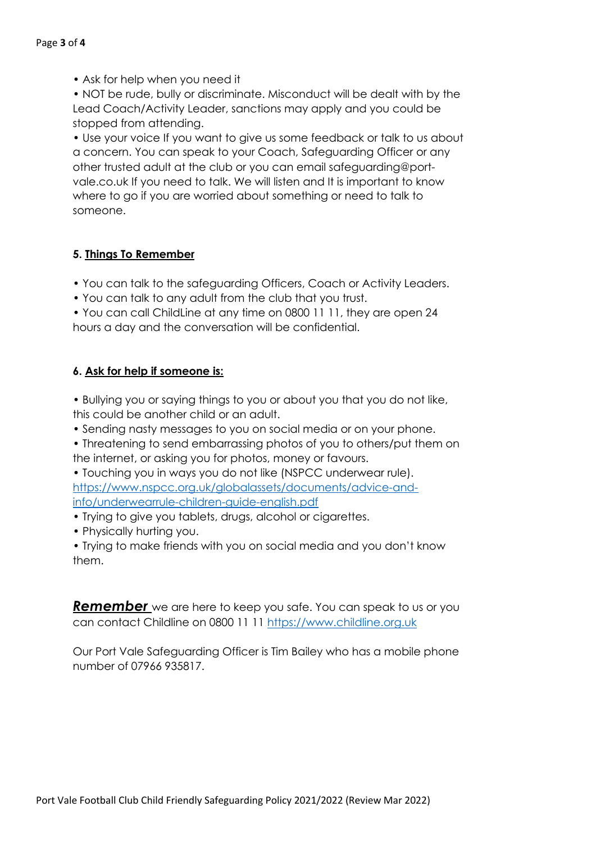• Ask for help when you need it

• NOT be rude, bully or discriminate. Misconduct will be dealt with by the Lead Coach/Activity Leader, sanctions may apply and you could be stopped from attending.

• Use your voice If you want to give us some feedback or talk to us about a concern. You can speak to your Coach, Safeguarding Officer or any other trusted adult at the club or you can email safeguarding@portvale.co.uk If you need to talk. We will listen and It is important to know where to go if you are worried about something or need to talk to someone.

#### **5. Things To Remember**

• You can talk to the safeguarding Officers, Coach or Activity Leaders.

- You can talk to any adult from the club that you trust.
- You can call ChildLine at any time on 0800 11 11, they are open 24 hours a day and the conversation will be confidential.

#### **6. Ask for help if someone is:**

- Bullying you or saying things to you or about you that you do not like, this could be another child or an adult.
- Sending nasty messages to you on social media or on your phone.

• Threatening to send embarrassing photos of you to others/put them on the internet, or asking you for photos, money or favours.

• Touching you in ways you do not like (NSPCC underwear rule). https://www.nspcc.org.uk/globalassets/documents/advice-andinfo/underwearrule-children-guide-english.pdf

- Trying to give you tablets, drugs, alcohol or cigarettes.
- Physically hurting you.

• Trying to make friends with you on social media and you don't know them.

*Remember* we are here to keep you safe. You can speak to us or you can contact Childline on 0800 11 11 https://www.childline.org.uk

Our Port Vale Safeguarding Officer is Tim Bailey who has a mobile phone number of 07966 935817.